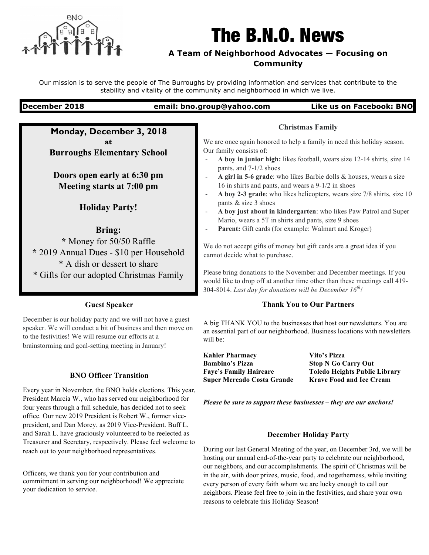

# The B.N.O. News

# **A Team of Neighborhood Advocates — Focusing on Community**

Our mission is to serve the people of The Burroughs by providing information and services that contribute to the stability and vitality of the community and neighborhood in which we live.

### **December 2018 email: bno.group@yahoo.com Like us on Facebook: BNO**

**Monday, December 3, 2018 at Burroughs Elementary School**

**Doors open early at 6:30 pm Meeting starts at 7:00 pm**

**Holiday Party!**

**Bring:** 

**\*** Money for 50/50 Raffle **\*** 2019 Annual Dues - \$10 per Household \* A dish or dessert to share \* Gifts for our adopted Christmas Family

### **Guest Speaker**

December is our holiday party and we will not have a guest speaker. We will conduct a bit of business and then move on to the festivities! We will resume our efforts at a brainstorming and goal-setting meeting in January!

## **BNO Officer Transition**

Every year in November, the BNO holds elections. This year, President Marcia W., who has served our neighborhood for four years through a full schedule, has decided not to seek office. Our new 2019 President is Robert W., former vicepresident, and Dan Morey, as 2019 Vice-President. Buff L. and Sarah L. have graciously volunteered to be reelected as Treasurer and Secretary, respectively. Please feel welcome to reach out to your neighborhood representatives.

Officers, we thank you for your contribution and commitment in serving our neighborhood! We appreciate your dedication to service.

We are once again honored to help a family in need this holiday season. Our family consists of:

**Christmas Family**

- **A boy in junior high:** likes football, wears size 12-14 shirts, size 14 pants, and 7-1/2 shoes
- **A girl in 5-6 grade**: who likes Barbie dolls & houses, wears a size 16 in shirts and pants, and wears a 9-1/2 in shoes
- **A boy 2-3 grade**: who likes helicopters, wears size 7/8 shirts, size 10 pants & size 3 shoes
- **A boy just about in kindergarten**: who likes Paw Patrol and Super Mario, wears a 5T in shirts and pants, size 9 shoes
- Parent: Gift cards (for example: Walmart and Kroger)

We do not accept gifts of money but gift cards are a great idea if you cannot decide what to purchase.

Please bring donations to the November and December meetings. If you would like to drop off at another time other than these meetings call 419- 304-8014. *Last day for donations will be December 16th!*

#### **Thank You to Our Partners**

A big THANK YOU to the businesses that host our newsletters. You are an essential part of our neighborhood. Business locations with newsletters will be:

**Kahler Pharmacy** Vito's Pizza **Bambino's Pizza Stop N Go Carry Out Faye's Family Haircare Toledo Heights Public Library Super Mercado Costa Grande Krave Food and Ice Cream**

*Please be sure to support these businesses – they are our anchors!*

#### **December Holiday Party**

During our last General Meeting of the year, on December 3rd, we will be hosting our annual end-of-the-year party to celebrate our neighborhood, our neighbors, and our accomplishments. The spirit of Christmas will be in the air, with door prizes, music, food, and togetherness, while inviting every person of every faith whom we are lucky enough to call our neighbors. Please feel free to join in the festivities, and share your own reasons to celebrate this Holiday Season!